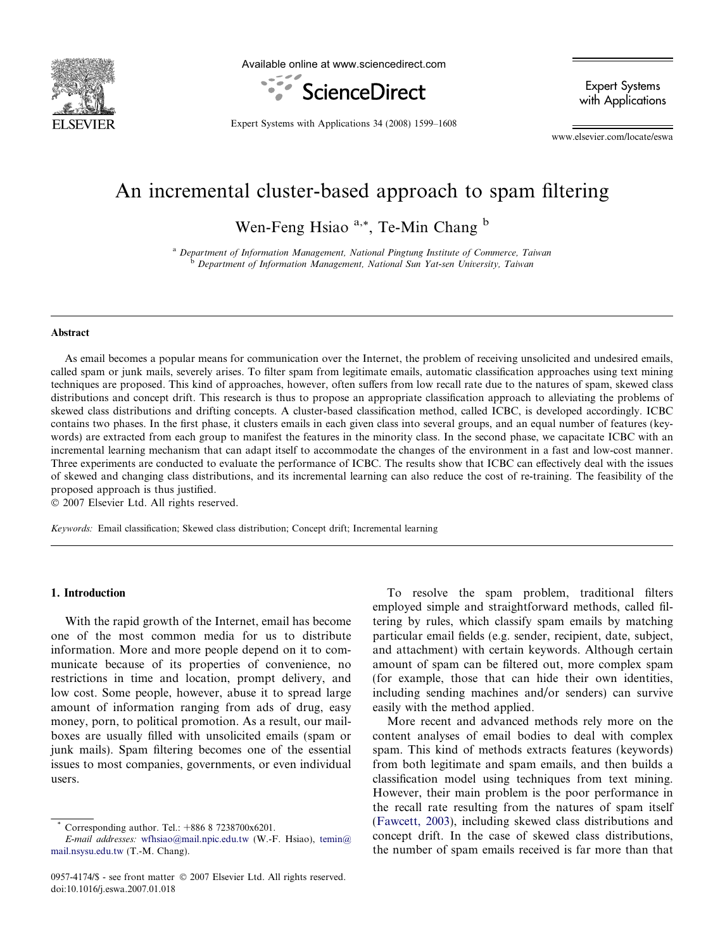

Available online at www.sciencedirect.com



Expert Systems with Applications

Expert Systems with Applications 34 (2008) 1599–1608

www.elsevier.com/locate/eswa

# An incremental cluster-based approach to spam filtering

Wen-Feng Hsiao  $a_{\alpha *}$ , Te-Min Chang  $b$ 

<sup>a</sup> Department of Information Management, National Pingtung Institute of Commerce, Taiwan **b** Department of Information Management, National Sun Yat-sen University, Taiwan

#### Abstract

As email becomes a popular means for communication over the Internet, the problem of receiving unsolicited and undesired emails, called spam or junk mails, severely arises. To filter spam from legitimate emails, automatic classification approaches using text mining techniques are proposed. This kind of approaches, however, often suffers from low recall rate due to the natures of spam, skewed class distributions and concept drift. This research is thus to propose an appropriate classification approach to alleviating the problems of skewed class distributions and drifting concepts. A cluster-based classification method, called ICBC, is developed accordingly. ICBC contains two phases. In the first phase, it clusters emails in each given class into several groups, and an equal number of features (keywords) are extracted from each group to manifest the features in the minority class. In the second phase, we capacitate ICBC with an incremental learning mechanism that can adapt itself to accommodate the changes of the environment in a fast and low-cost manner. Three experiments are conducted to evaluate the performance of ICBC. The results show that ICBC can effectively deal with the issues of skewed and changing class distributions, and its incremental learning can also reduce the cost of re-training. The feasibility of the proposed approach is thus justified.

© 2007 Elsevier Ltd. All rights reserved.

Keywords: Email classification; Skewed class distribution; Concept drift; Incremental learning

## 1. Introduction

With the rapid growth of the Internet, email has become one of the most common media for us to distribute information. More and more people depend on it to communicate because of its properties of convenience, no restrictions in time and location, prompt delivery, and low cost. Some people, however, abuse it to spread large amount of information ranging from ads of drug, easy money, porn, to political promotion. As a result, our mailboxes are usually filled with unsolicited emails (spam or junk mails). Spam filtering becomes one of the essential issues to most companies, governments, or even individual users.

To resolve the spam problem, traditional filters employed simple and straightforward methods, called filtering by rules, which classify spam emails by matching particular email fields (e.g. sender, recipient, date, subject, and attachment) with certain keywords. Although certain amount of spam can be filtered out, more complex spam (for example, those that can hide their own identities, including sending machines and/or senders) can survive easily with the method applied.

More recent and advanced methods rely more on the content analyses of email bodies to deal with complex spam. This kind of methods extracts features (keywords) from both legitimate and spam emails, and then builds a classification model using techniques from text mining. However, their main problem is the poor performance in the recall rate resulting from the natures of spam itself ([Fawcett, 2003\)](#page-9-0), including skewed class distributions and concept drift. In the case of skewed class distributions, the number of spam emails received is far more than that

Corresponding author. Tel.: +886 8 7238700x6201.

E-mail addresses: [wfhsiao@mail.npic.edu.tw](mailto:wfhsiao@mail.npic.edu.tw) (W.-F. Hsiao), [temin@](mailto:temin@ mail.nsysu.edu.tw) [mail.nsysu.edu.tw](mailto:temin@ mail.nsysu.edu.tw) (T.-M. Chang).

<sup>0957-4174/\$ -</sup> see front matter © 2007 Elsevier Ltd. All rights reserved. doi:10.1016/j.eswa.2007.01.018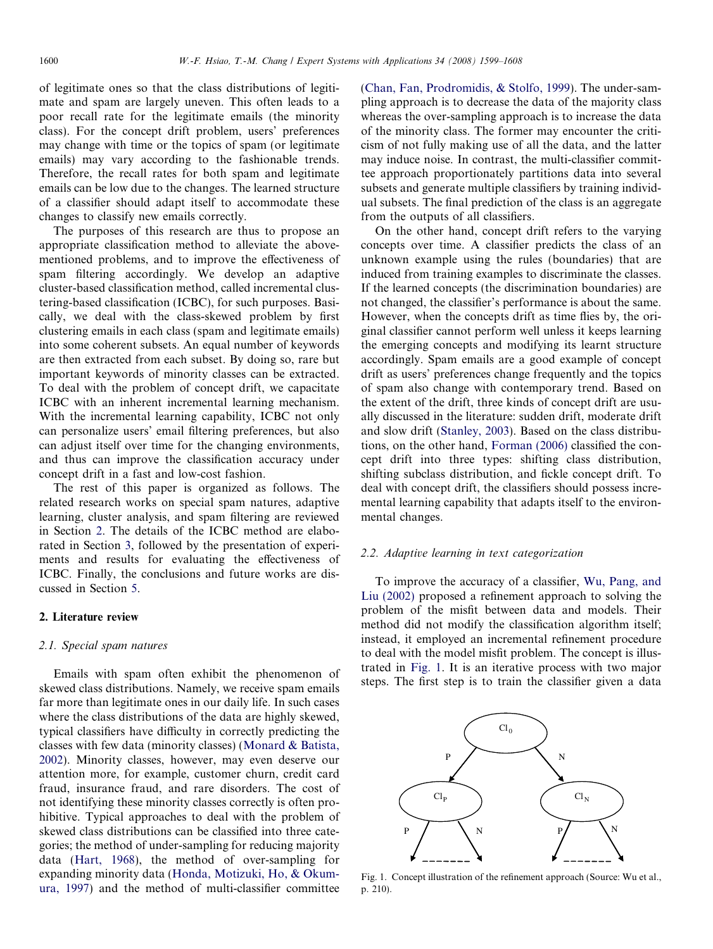of legitimate ones so that the class distributions of legitimate and spam are largely uneven. This often leads to a poor recall rate for the legitimate emails (the minority class). For the concept drift problem, users' preferences may change with time or the topics of spam (or legitimate emails) may vary according to the fashionable trends. Therefore, the recall rates for both spam and legitimate emails can be low due to the changes. The learned structure of a classifier should adapt itself to accommodate these changes to classify new emails correctly.

The purposes of this research are thus to propose an appropriate classification method to alleviate the abovementioned problems, and to improve the effectiveness of spam filtering accordingly. We develop an adaptive cluster-based classification method, called incremental clustering-based classification (ICBC), for such purposes. Basically, we deal with the class-skewed problem by first clustering emails in each class (spam and legitimate emails) into some coherent subsets. An equal number of keywords are then extracted from each subset. By doing so, rare but important keywords of minority classes can be extracted. To deal with the problem of concept drift, we capacitate ICBC with an inherent incremental learning mechanism. With the incremental learning capability, ICBC not only can personalize users' email filtering preferences, but also can adjust itself over time for the changing environments, and thus can improve the classification accuracy under concept drift in a fast and low-cost fashion.

The rest of this paper is organized as follows. The related research works on special spam natures, adaptive learning, cluster analysis, and spam filtering are reviewed in Section 2. The details of the ICBC method are elaborated in Section [3](#page-3-0), followed by the presentation of experiments and results for evaluating the effectiveness of ICBC. Finally, the conclusions and future works are discussed in Section [5.](#page-9-0)

## 2. Literature review

## 2.1. Special spam natures

Emails with spam often exhibit the phenomenon of skewed class distributions. Namely, we receive spam emails far more than legitimate ones in our daily life. In such cases where the class distributions of the data are highly skewed, typical classifiers have difficulty in correctly predicting the classes with few data (minority classes) [\(Monard & Batista,](#page-9-0) [2002\)](#page-9-0). Minority classes, however, may even deserve our attention more, for example, customer churn, credit card fraud, insurance fraud, and rare disorders. The cost of not identifying these minority classes correctly is often prohibitive. Typical approaches to deal with the problem of skewed class distributions can be classified into three categories; the method of under-sampling for reducing majority data [\(Hart, 1968\)](#page-9-0), the method of over-sampling for expanding minority data ([Honda, Motizuki, Ho, & Okum](#page-9-0)[ura, 1997\)](#page-9-0) and the method of multi-classifier committee [\(Chan, Fan, Prodromidis, & Stolfo, 1999](#page-9-0)). The under-sampling approach is to decrease the data of the majority class whereas the over-sampling approach is to increase the data of the minority class. The former may encounter the criticism of not fully making use of all the data, and the latter may induce noise. In contrast, the multi-classifier committee approach proportionately partitions data into several subsets and generate multiple classifiers by training individual subsets. The final prediction of the class is an aggregate from the outputs of all classifiers.

On the other hand, concept drift refers to the varying concepts over time. A classifier predicts the class of an unknown example using the rules (boundaries) that are induced from training examples to discriminate the classes. If the learned concepts (the discrimination boundaries) are not changed, the classifier's performance is about the same. However, when the concepts drift as time flies by, the original classifier cannot perform well unless it keeps learning the emerging concepts and modifying its learnt structure accordingly. Spam emails are a good example of concept drift as users' preferences change frequently and the topics of spam also change with contemporary trend. Based on the extent of the drift, three kinds of concept drift are usually discussed in the literature: sudden drift, moderate drift and slow drift [\(Stanley, 2003\)](#page-9-0). Based on the class distributions, on the other hand, [Forman \(2006\)](#page-9-0) classified the concept drift into three types: shifting class distribution, shifting subclass distribution, and fickle concept drift. To deal with concept drift, the classifiers should possess incremental learning capability that adapts itself to the environmental changes.

## 2.2. Adaptive learning in text categorization

To improve the accuracy of a classifier, [Wu, Pang, and](#page-9-0) [Liu \(2002\)](#page-9-0) proposed a refinement approach to solving the problem of the misfit between data and models. Their method did not modify the classification algorithm itself; instead, it employed an incremental refinement procedure to deal with the model misfit problem. The concept is illustrated in Fig. 1. It is an iterative process with two major steps. The first step is to train the classifier given a data



Fig. 1. Concept illustration of the refinement approach (Source: Wu et al., p. 210).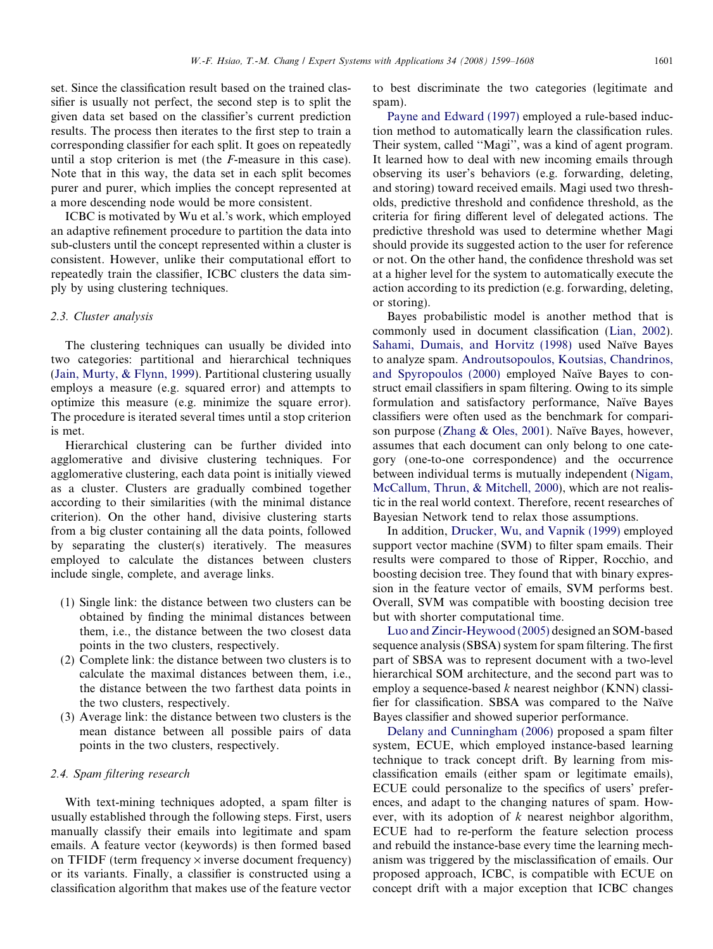set. Since the classification result based on the trained classifier is usually not perfect, the second step is to split the given data set based on the classifier's current prediction results. The process then iterates to the first step to train a corresponding classifier for each split. It goes on repeatedly until a stop criterion is met (the F-measure in this case). Note that in this way, the data set in each split becomes purer and purer, which implies the concept represented at a more descending node would be more consistent.

ICBC is motivated by Wu et al.'s work, which employed an adaptive refinement procedure to partition the data into sub-clusters until the concept represented within a cluster is consistent. However, unlike their computational effort to repeatedly train the classifier, ICBC clusters the data simply by using clustering techniques.

# 2.3. Cluster analysis

The clustering techniques can usually be divided into two categories: partitional and hierarchical techniques ([Jain, Murty, & Flynn, 1999\)](#page-9-0). Partitional clustering usually employs a measure (e.g. squared error) and attempts to optimize this measure (e.g. minimize the square error). The procedure is iterated several times until a stop criterion is met.

Hierarchical clustering can be further divided into agglomerative and divisive clustering techniques. For agglomerative clustering, each data point is initially viewed as a cluster. Clusters are gradually combined together according to their similarities (with the minimal distance criterion). On the other hand, divisive clustering starts from a big cluster containing all the data points, followed by separating the cluster(s) iteratively. The measures employed to calculate the distances between clusters include single, complete, and average links.

- (1) Single link: the distance between two clusters can be obtained by finding the minimal distances between them, i.e., the distance between the two closest data points in the two clusters, respectively.
- (2) Complete link: the distance between two clusters is to calculate the maximal distances between them, i.e., the distance between the two farthest data points in the two clusters, respectively.
- (3) Average link: the distance between two clusters is the mean distance between all possible pairs of data points in the two clusters, respectively.

#### 2.4. Spam filtering research

With text-mining techniques adopted, a spam filter is usually established through the following steps. First, users manually classify their emails into legitimate and spam emails. A feature vector (keywords) is then formed based on TFIDF (term frequency  $\times$  inverse document frequency) or its variants. Finally, a classifier is constructed using a classification algorithm that makes use of the feature vector to best discriminate the two categories (legitimate and spam).

[Payne and Edward \(1997\)](#page-9-0) employed a rule-based induction method to automatically learn the classification rules. Their system, called ''Magi'', was a kind of agent program. It learned how to deal with new incoming emails through observing its user's behaviors (e.g. forwarding, deleting, and storing) toward received emails. Magi used two thresholds, predictive threshold and confidence threshold, as the criteria for firing different level of delegated actions. The predictive threshold was used to determine whether Magi should provide its suggested action to the user for reference or not. On the other hand, the confidence threshold was set at a higher level for the system to automatically execute the action according to its prediction (e.g. forwarding, deleting, or storing).

Bayes probabilistic model is another method that is commonly used in document classification [\(Lian, 2002\)](#page-9-0). [Sahami, Dumais, and Horvitz \(1998\)](#page-9-0) used Naïve Bayes to analyze spam. [Androutsopoulos, Koutsias, Chandrinos,](#page-9-0) [and Spyropoulos \(2000\)](#page-9-0) employed Naïve Bayes to construct email classifiers in spam filtering. Owing to its simple formulation and satisfactory performance, Naïve Bayes classifiers were often used as the benchmark for compari-son purpose [\(Zhang & Oles, 2001\)](#page-9-0). Naïve Bayes, however, assumes that each document can only belong to one category (one-to-one correspondence) and the occurrence between individual terms is mutually independent ([Nigam,](#page-9-0) [McCallum, Thrun, & Mitchell, 2000\)](#page-9-0), which are not realistic in the real world context. Therefore, recent researches of Bayesian Network tend to relax those assumptions.

In addition, [Drucker, Wu, and Vapnik \(1999\)](#page-9-0) employed support vector machine (SVM) to filter spam emails. Their results were compared to those of Ripper, Rocchio, and boosting decision tree. They found that with binary expression in the feature vector of emails, SVM performs best. Overall, SVM was compatible with boosting decision tree but with shorter computational time.

[Luo and Zincir-Heywood \(2005\)](#page-9-0) designed an SOM-based sequence analysis (SBSA) system for spam filtering. The first part of SBSA was to represent document with a two-level hierarchical SOM architecture, and the second part was to employ a sequence-based  $k$  nearest neighbor (KNN) classifier for classification. SBSA was compared to the Naïve Bayes classifier and showed superior performance.

[Delany and Cunningham \(2006\)](#page-9-0) proposed a spam filter system, ECUE, which employed instance-based learning technique to track concept drift. By learning from misclassification emails (either spam or legitimate emails), ECUE could personalize to the specifics of users' preferences, and adapt to the changing natures of spam. However, with its adoption of  $k$  nearest neighbor algorithm, ECUE had to re-perform the feature selection process and rebuild the instance-base every time the learning mechanism was triggered by the misclassification of emails. Our proposed approach, ICBC, is compatible with ECUE on concept drift with a major exception that ICBC changes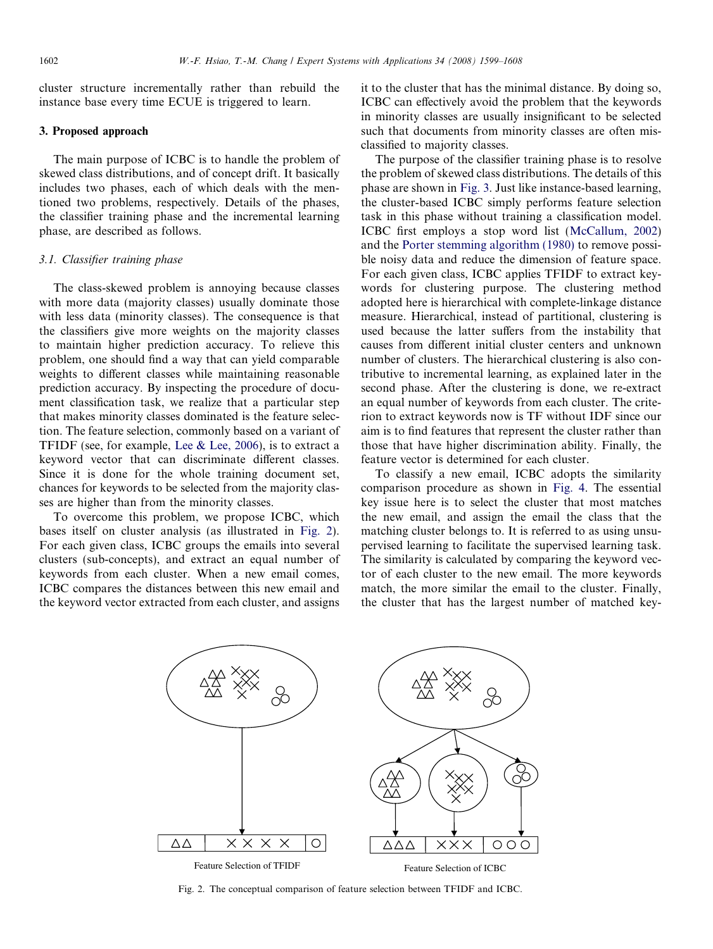<span id="page-3-0"></span>cluster structure incrementally rather than rebuild the instance base every time ECUE is triggered to learn.

# 3. Proposed approach

The main purpose of ICBC is to handle the problem of skewed class distributions, and of concept drift. It basically includes two phases, each of which deals with the mentioned two problems, respectively. Details of the phases, the classifier training phase and the incremental learning phase, are described as follows.

# 3.1. Classifier training phase

The class-skewed problem is annoying because classes with more data (majority classes) usually dominate those with less data (minority classes). The consequence is that the classifiers give more weights on the majority classes to maintain higher prediction accuracy. To relieve this problem, one should find a way that can yield comparable weights to different classes while maintaining reasonable prediction accuracy. By inspecting the procedure of document classification task, we realize that a particular step that makes minority classes dominated is the feature selection. The feature selection, commonly based on a variant of TFIDF (see, for example, [Lee & Lee, 2006](#page-9-0)), is to extract a keyword vector that can discriminate different classes. Since it is done for the whole training document set, chances for keywords to be selected from the majority classes are higher than from the minority classes.

To overcome this problem, we propose ICBC, which bases itself on cluster analysis (as illustrated in Fig. 2). For each given class, ICBC groups the emails into several clusters (sub-concepts), and extract an equal number of keywords from each cluster. When a new email comes, ICBC compares the distances between this new email and the keyword vector extracted from each cluster, and assigns

it to the cluster that has the minimal distance. By doing so, ICBC can effectively avoid the problem that the keywords in minority classes are usually insignificant to be selected such that documents from minority classes are often misclassified to majority classes.

The purpose of the classifier training phase is to resolve the problem of skewed class distributions. The details of this phase are shown in [Fig. 3.](#page-4-0) Just like instance-based learning, the cluster-based ICBC simply performs feature selection task in this phase without training a classification model. ICBC first employs a stop word list ([McCallum, 2002](#page-9-0)) and the [Porter stemming algorithm \(1980\)](#page-9-0) to remove possible noisy data and reduce the dimension of feature space. For each given class, ICBC applies TFIDF to extract keywords for clustering purpose. The clustering method adopted here is hierarchical with complete-linkage distance measure. Hierarchical, instead of partitional, clustering is used because the latter suffers from the instability that causes from different initial cluster centers and unknown number of clusters. The hierarchical clustering is also contributive to incremental learning, as explained later in the second phase. After the clustering is done, we re-extract an equal number of keywords from each cluster. The criterion to extract keywords now is TF without IDF since our aim is to find features that represent the cluster rather than those that have higher discrimination ability. Finally, the feature vector is determined for each cluster.

To classify a new email, ICBC adopts the similarity comparison procedure as shown in [Fig. 4.](#page-4-0) The essential key issue here is to select the cluster that most matches the new email, and assign the email the class that the matching cluster belongs to. It is referred to as using unsupervised learning to facilitate the supervised learning task. The similarity is calculated by comparing the keyword vector of each cluster to the new email. The more keywords match, the more similar the email to the cluster. Finally, the cluster that has the largest number of matched key-



Fig. 2. The conceptual comparison of feature selection between TFIDF and ICBC.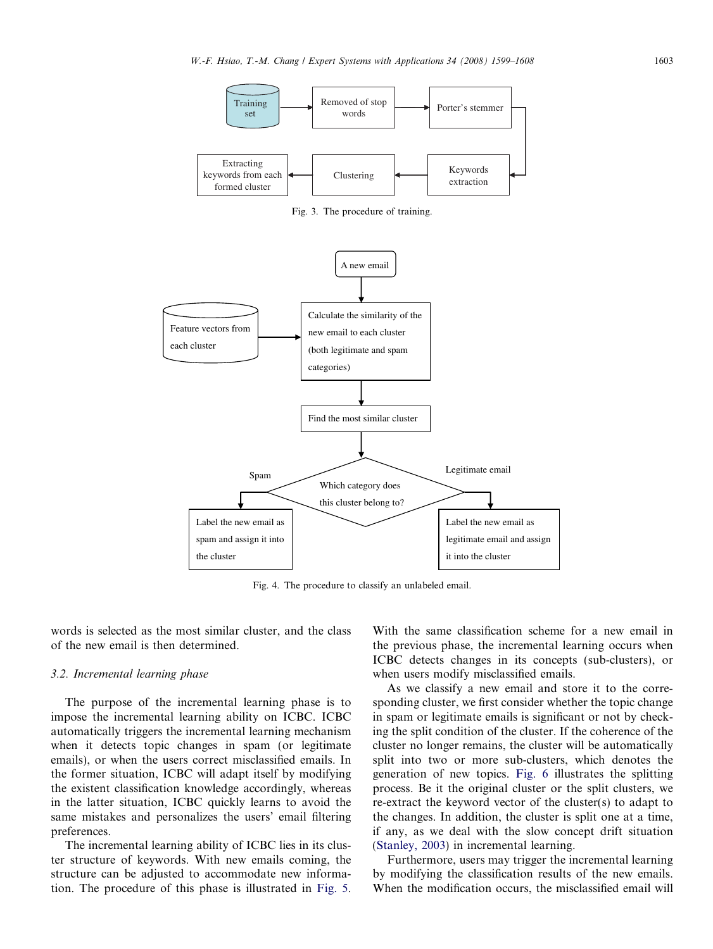<span id="page-4-0"></span>

Fig. 3. The procedure of training.



Fig. 4. The procedure to classify an unlabeled email.

words is selected as the most similar cluster, and the class of the new email is then determined.

# 3.2. Incremental learning phase

The purpose of the incremental learning phase is to impose the incremental learning ability on ICBC. ICBC automatically triggers the incremental learning mechanism when it detects topic changes in spam (or legitimate emails), or when the users correct misclassified emails. In the former situation, ICBC will adapt itself by modifying the existent classification knowledge accordingly, whereas in the latter situation, ICBC quickly learns to avoid the same mistakes and personalizes the users' email filtering preferences.

The incremental learning ability of ICBC lies in its cluster structure of keywords. With new emails coming, the structure can be adjusted to accommodate new information. The procedure of this phase is illustrated in [Fig. 5.](#page-5-0) With the same classification scheme for a new email in the previous phase, the incremental learning occurs when ICBC detects changes in its concepts (sub-clusters), or when users modify misclassified emails.

As we classify a new email and store it to the corresponding cluster, we first consider whether the topic change in spam or legitimate emails is significant or not by checking the split condition of the cluster. If the coherence of the cluster no longer remains, the cluster will be automatically split into two or more sub-clusters, which denotes the generation of new topics. [Fig. 6](#page-5-0) illustrates the splitting process. Be it the original cluster or the split clusters, we re-extract the keyword vector of the cluster(s) to adapt to the changes. In addition, the cluster is split one at a time, if any, as we deal with the slow concept drift situation ([Stanley, 2003](#page-9-0)) in incremental learning.

Furthermore, users may trigger the incremental learning by modifying the classification results of the new emails. When the modification occurs, the misclassified email will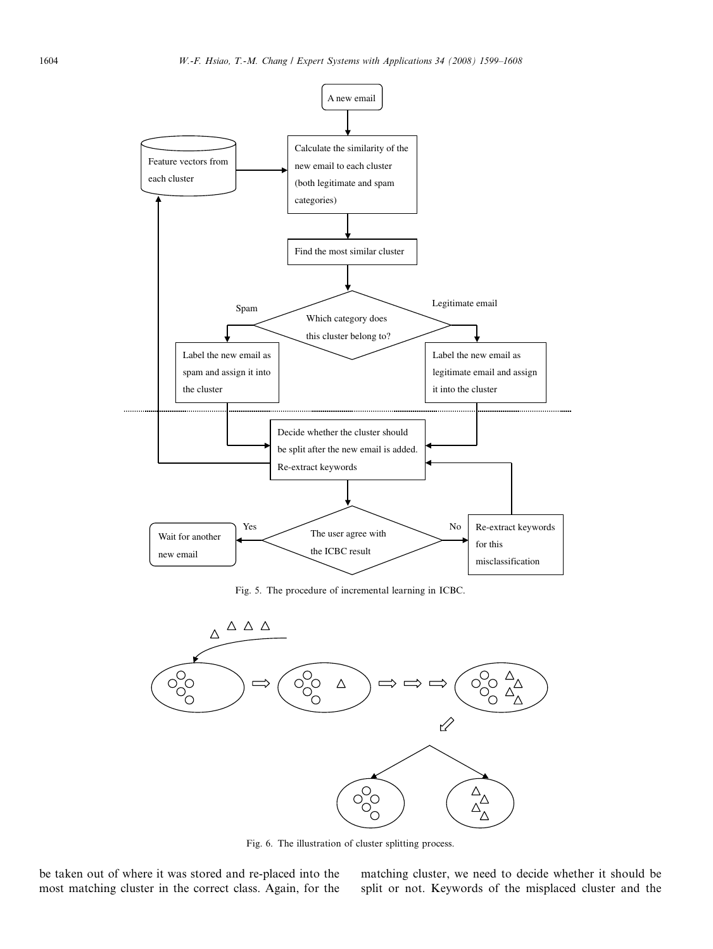<span id="page-5-0"></span>

Fig. 5. The procedure of incremental learning in ICBC.



Fig. 6. The illustration of cluster splitting process.

be taken out of where it was stored and re-placed into the most matching cluster in the correct class. Again, for the matching cluster, we need to decide whether it should be split or not. Keywords of the misplaced cluster and the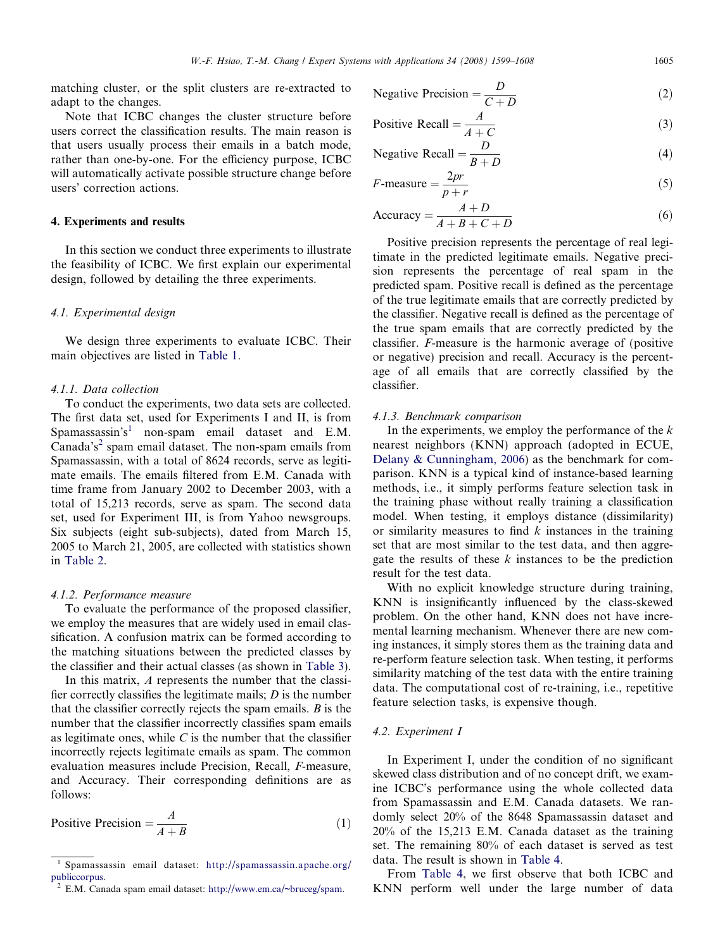matching cluster, or the split clusters are re-extracted to adapt to the changes.

Note that ICBC changes the cluster structure before users correct the classification results. The main reason is that users usually process their emails in a batch mode, rather than one-by-one. For the efficiency purpose, ICBC will automatically activate possible structure change before users' correction actions.

# 4. Experiments and results

In this section we conduct three experiments to illustrate the feasibility of ICBC. We first explain our experimental design, followed by detailing the three experiments.

#### 4.1. Experimental design

We design three experiments to evaluate ICBC. Their main objectives are listed in [Table 1.](#page-7-0)

# 4.1.1. Data collection

To conduct the experiments, two data sets are collected. The first data set, used for Experiments I and II, is from  $Spamassassin's<sup>1</sup>$  non-spam email dataset and E.M. Canada's<sup>2</sup> spam email dataset. The non-spam emails from Spamassassin, with a total of 8624 records, serve as legitimate emails. The emails filtered from E.M. Canada with time frame from January 2002 to December 2003, with a total of 15,213 records, serve as spam. The second data set, used for Experiment III, is from Yahoo newsgroups. Six subjects (eight sub-subjects), dated from March 15, 2005 to March 21, 2005, are collected with statistics shown in [Table 2.](#page-7-0)

#### 4.1.2. Performance measure

To evaluate the performance of the proposed classifier, we employ the measures that are widely used in email classification. A confusion matrix can be formed according to the matching situations between the predicted classes by the classifier and their actual classes (as shown in [Table 3\)](#page-7-0).

In this matrix, A represents the number that the classifier correctly classifies the legitimate mails;  $D$  is the number that the classifier correctly rejects the spam emails.  $B$  is the number that the classifier incorrectly classifies spam emails as legitimate ones, while  $C$  is the number that the classifier incorrectly rejects legitimate emails as spam. The common evaluation measures include Precision, Recall, F-measure, and Accuracy. Their corresponding definitions are as follows:

Positive Precision = 
$$
\frac{A}{A+B}
$$
 (1)

Negative Precision = 
$$
\frac{D}{C+D}
$$
 (2)

Positive Recall 
$$
=
$$
  $\frac{A}{A+C}$  (3)

Negative Recall = 
$$
\frac{D}{B+D}
$$
 (4)

$$
F\text{-measure} = \frac{2pr}{p+r} \tag{5}
$$

$$
Accuracy = \frac{A + D}{A + B + C + D}
$$
 (6)

Positive precision represents the percentage of real legitimate in the predicted legitimate emails. Negative precision represents the percentage of real spam in the predicted spam. Positive recall is defined as the percentage of the true legitimate emails that are correctly predicted by the classifier. Negative recall is defined as the percentage of the true spam emails that are correctly predicted by the classifier. F-measure is the harmonic average of (positive or negative) precision and recall. Accuracy is the percentage of all emails that are correctly classified by the classifier.

#### 4.1.3. Benchmark comparison

In the experiments, we employ the performance of the  $k$ nearest neighbors (KNN) approach (adopted in ECUE, [Delany & Cunningham, 2006](#page-9-0)) as the benchmark for comparison. KNN is a typical kind of instance-based learning methods, i.e., it simply performs feature selection task in the training phase without really training a classification model. When testing, it employs distance (dissimilarity) or similarity measures to find  $k$  instances in the training set that are most similar to the test data, and then aggregate the results of these  $k$  instances to be the prediction result for the test data.

With no explicit knowledge structure during training, KNN is insignificantly influenced by the class-skewed problem. On the other hand, KNN does not have incremental learning mechanism. Whenever there are new coming instances, it simply stores them as the training data and re-perform feature selection task. When testing, it performs similarity matching of the test data with the entire training data. The computational cost of re-training, i.e., repetitive feature selection tasks, is expensive though.

# 4.2. Experiment I

In Experiment I, under the condition of no significant skewed class distribution and of no concept drift, we examine ICBC's performance using the whole collected data from Spamassassin and E.M. Canada datasets. We randomly select 20% of the 8648 Spamassassin dataset and 20% of the 15,213 E.M. Canada dataset as the training set. The remaining 80% of each dataset is served as test data. The result is shown in [Table 4.](#page-7-0)

From [Table 4,](#page-7-0) we first observe that both ICBC and KNN perform well under the large number of data

<sup>1</sup> Spamassassin email dataset: [http://spamassassin.apache.org/](http://spamassassin.apache.org/publiccorpus) [publiccorpus](http://spamassassin.apache.org/publiccorpus). <sup>2</sup> E.M. Canada spam email dataset: [http://www.em.ca/~bruceg/spam.](http://www.em.ca/~bruceg/spam)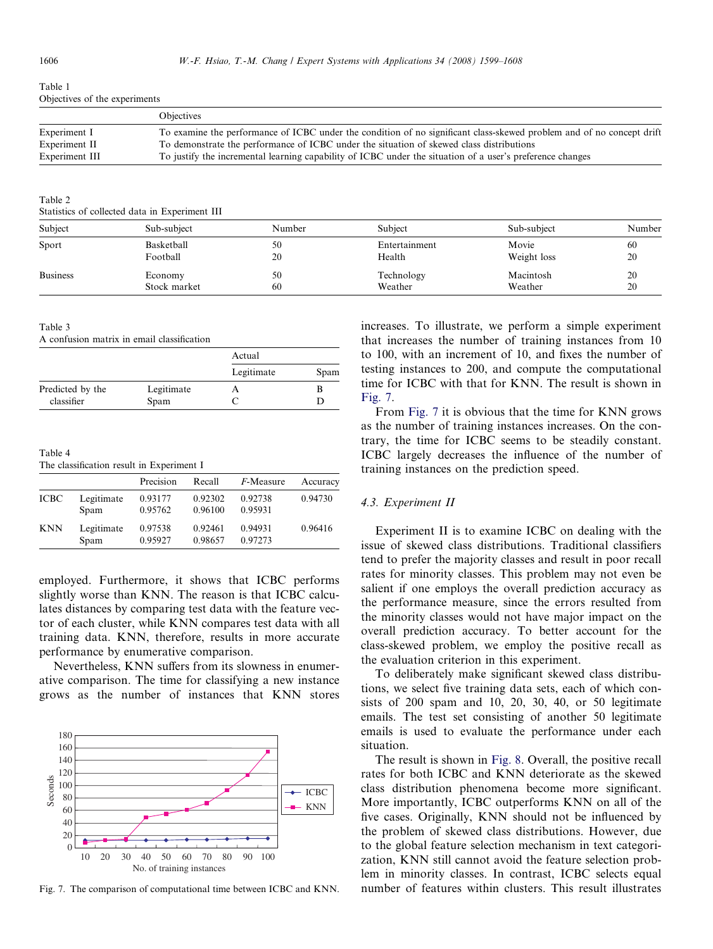## <span id="page-7-0"></span>Table 1 Objectives of the experiments

|                | <b>Objectives</b>                                                                                                     |
|----------------|-----------------------------------------------------------------------------------------------------------------------|
| Experiment I   | To examine the performance of ICBC under the condition of no significant class-skewed problem and of no concept drift |
| Experiment II  | To demonstrate the performance of ICBC under the situation of skewed class distributions                              |
| Experiment III | To justify the incremental learning capability of ICBC under the situation of a user's preference changes             |

# Table 2

Statistics of collected data in Experiment III

| Subject         | Sub-subject  | Number | Subject       | Sub-subject | Number |
|-----------------|--------------|--------|---------------|-------------|--------|
| Sport           | Basketball   | 50     | Entertainment | Movie       | 60     |
|                 | Football     | 20     | Health        | Weight loss | 20     |
| <b>Business</b> | Economy      | 50     | Technology    | Macintosh   | 20     |
|                 | Stock market | 60     | Weather       | Weather     | 20     |

#### Table 3

A confusion matrix in email classification

|                  |            | Actual     |      |  |
|------------------|------------|------------|------|--|
|                  |            | Legitimate | Spam |  |
| Predicted by the | Legitimate |            |      |  |
| classifier       | Spam       |            |      |  |

Table 4

The classification result in Experiment I

|             |                    | Precision          | Recall             | <i>F</i> -Measure  | Accuracy |
|-------------|--------------------|--------------------|--------------------|--------------------|----------|
| <b>ICBC</b> | Legitimate<br>Spam | 0.93177<br>0.95762 | 0.92302<br>0.96100 | 0.92738<br>0.95931 | 0.94730  |
| <b>KNN</b>  | Legitimate<br>Spam | 0.97538<br>0.95927 | 0.92461<br>0.98657 | 0.94931<br>0.97273 | 0.96416  |

employed. Furthermore, it shows that ICBC performs slightly worse than KNN. The reason is that ICBC calculates distances by comparing test data with the feature vector of each cluster, while KNN compares test data with all training data. KNN, therefore, results in more accurate performance by enumerative comparison.

Nevertheless, KNN suffers from its slowness in enumerative comparison. The time for classifying a new instance grows as the number of instances that KNN stores



Fig. 7. The comparison of computational time between ICBC and KNN.

increases. To illustrate, we perform a simple experiment that increases the number of training instances from 10 to 100, with an increment of 10, and fixes the number of testing instances to 200, and compute the computational time for ICBC with that for KNN. The result is shown in Fig. 7.

From Fig. 7 it is obvious that the time for KNN grows as the number of training instances increases. On the contrary, the time for ICBC seems to be steadily constant. ICBC largely decreases the influence of the number of training instances on the prediction speed.

# 4.3. Experiment II

Experiment II is to examine ICBC on dealing with the issue of skewed class distributions. Traditional classifiers tend to prefer the majority classes and result in poor recall rates for minority classes. This problem may not even be salient if one employs the overall prediction accuracy as the performance measure, since the errors resulted from the minority classes would not have major impact on the overall prediction accuracy. To better account for the class-skewed problem, we employ the positive recall as the evaluation criterion in this experiment.

To deliberately make significant skewed class distributions, we select five training data sets, each of which consists of 200 spam and 10, 20, 30, 40, or 50 legitimate emails. The test set consisting of another 50 legitimate emails is used to evaluate the performance under each situation.

The result is shown in [Fig. 8](#page-8-0). Overall, the positive recall rates for both ICBC and KNN deteriorate as the skewed class distribution phenomena become more significant. More importantly, ICBC outperforms KNN on all of the five cases. Originally, KNN should not be influenced by the problem of skewed class distributions. However, due to the global feature selection mechanism in text categorization, KNN still cannot avoid the feature selection problem in minority classes. In contrast, ICBC selects equal number of features within clusters. This result illustrates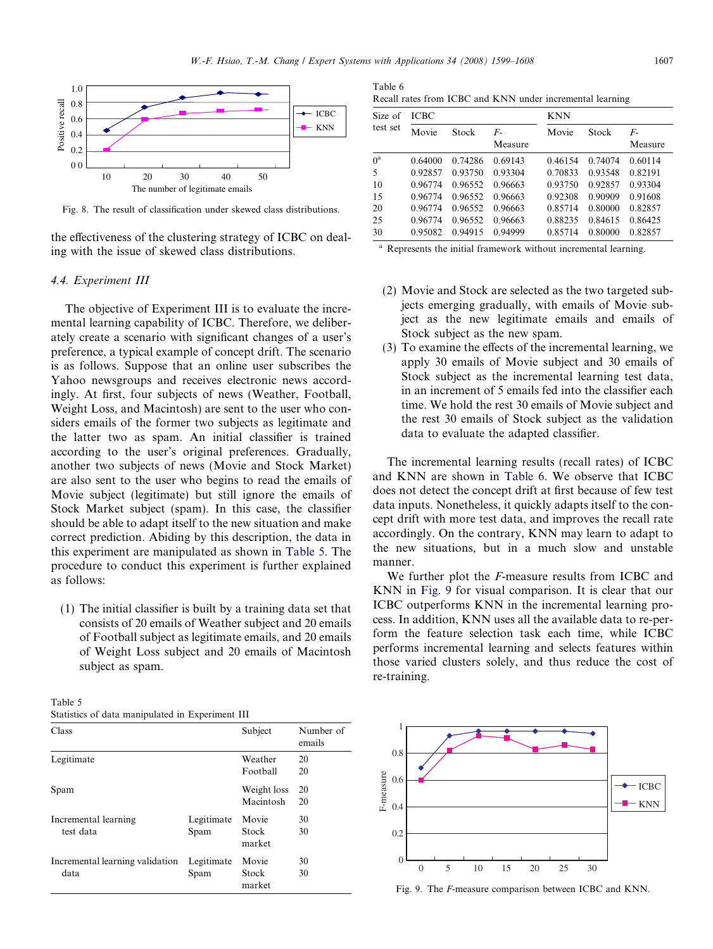<span id="page-8-0"></span>

Fig. 8. The result of classification under skewed class distributions.

the effectiveness of the clustering strategy of ICBC on dealing with the issue of skewed class distributions.

# 4.4. Experiment III

The objective of Experiment III is to evaluate the incremental learning capability of ICBC. Therefore, we deliberately create a scenario with significant changes of a user's preference, a typical example of concept drift. The scenario is as follows. Suppose that an online user subscribes the Yahoo newsgroups and receives electronic news accordingly. At first, four subjects of news (Weather, Football, Weight Loss, and Macintosh) are sent to the user who considers emails of the former two subjects as legitimate and the latter two as spam. An initial classifier is trained according to the user's original preferences. Gradually, another two subjects of news (Movie and Stock Market) are also sent to the user who begins to read the emails of Movie subject (legitimate) but still ignore the emails of Stock Market subject (spam). In this case, the classifier should be able to adapt itself to the new situation and make correct prediction. Abiding by this description, the data in this experiment are manipulated as shown in Table 5. The procedure to conduct this experiment is further explained as follows:

(1) The initial classifier is built by a training data set that consists of 20 emails of Weather subject and 20 emails of Football subject as legitimate emails, and 20 emails of Weight Loss subject and 20 emails of Macintosh subject as spam.

| Table 5 |  |                                                  |  |
|---------|--|--------------------------------------------------|--|
|         |  | Statistics of data manipulated in Experiment III |  |

| Class                                   |                    | Subject                  | Number of<br>emails |
|-----------------------------------------|--------------------|--------------------------|---------------------|
| Legitimate                              |                    | Weather<br>Football      | 20<br>20            |
| Spam                                    |                    | Weight loss<br>Macintosh | 20<br>20            |
| Incremental learning<br>test data       | Legitimate<br>Spam | Movie<br>Stock<br>market | 30<br>30            |
| Incremental learning validation<br>data | Legitimate<br>Spam | Movie<br>Stock<br>market | 30<br>30            |

Table 6 Recall rates from ICBC and KNN under incremental learning

| Size of  | <b>ICBC</b> |         |               | <b>KNN</b> |         |               |
|----------|-------------|---------|---------------|------------|---------|---------------|
| test set | Movie       | Stock   | F-<br>Measure | Movie      | Stock   | F-<br>Measure |
| $0^a$    | 0.64000     | 0.74286 | 0.69143       | 0.46154    | 0.74074 | 0.60114       |
| 5        | 0.92857     | 0.93750 | 0.93304       | 0.70833    | 0.93548 | 0.82191       |
| 10       | 0.96774     | 0.96552 | 0.96663       | 0.93750    | 0.92857 | 0.93304       |
| 15       | 0.96774     | 0.96552 | 0.96663       | 0.92308    | 0.90909 | 0.91608       |
| 20       | 0.96774     | 0.96552 | 0.96663       | 0.85714    | 0.80000 | 0.82857       |
| 25       | 0.96774     | 0.96552 | 0.96663       | 0.88235    | 0.84615 | 0.86425       |
| 30       | 0.95082     | 0.94915 | 0 94999       | 0.85714    | 0.80000 | 0.82857       |

<sup>a</sup> Represents the initial framework without incremental learning.

- (2) Movie and Stock are selected as the two targeted subjects emerging gradually, with emails of Movie subject as the new legitimate emails and emails of Stock subject as the new spam.
- (3) To examine the effects of the incremental learning, we apply 30 emails of Movie subject and 30 emails of Stock subject as the incremental learning test data, in an increment of 5 emails fed into the classifier each time. We hold the rest 30 emails of Movie subject and the rest 30 emails of Stock subject as the validation data to evaluate the adapted classifier.

The incremental learning results (recall rates) of ICBC and KNN are shown in Table 6. We observe that ICBC does not detect the concept drift at first because of few test data inputs. Nonetheless, it quickly adapts itself to the concept drift with more test data, and improves the recall rate accordingly. On the contrary, KNN may learn to adapt to the new situations, but in a much slow and unstable manner.

We further plot the F-measure results from ICBC and KNN in Fig. 9 for visual comparison. It is clear that our ICBC outperforms KNN in the incremental learning process. In addition, KNN uses all the available data to re-perform the feature selection task each time, while ICBC performs incremental learning and selects features within those varied clusters solely, and thus reduce the cost of re-training.



Fig. 9. The F-measure comparison between ICBC and KNN.